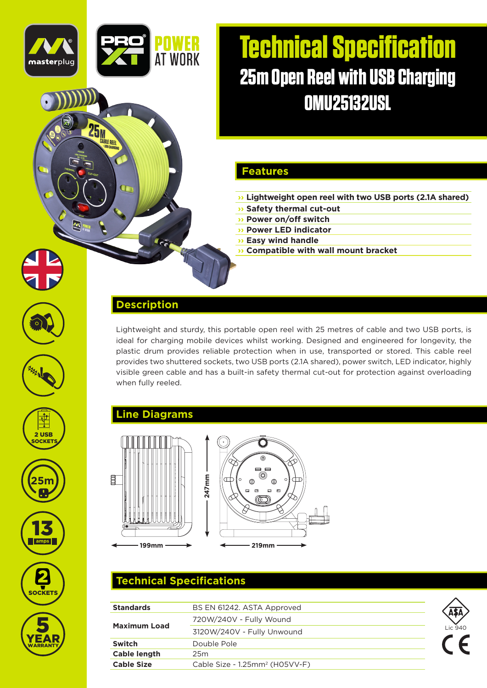# **Technical Specification 25m Open Reel with USB Charging OMU25132USL**

#### **Features**

- **›› Lightweight open reel with two USB ports (2.1A shared)**
- **›› Safety thermal cut-out**
- **›› Power on/off switch**
- **›› Power LED indicator**
- **›› Easy wind handle**

#### **›› Compatible with wall mount bracket**

#### **Description**

**AT WORK** 

Lightweight and sturdy, this portable open reel with 25 metres of cable and two USB ports, is ideal for charging mobile devices whilst working. Designed and engineered for longevity, the plastic drum provides reliable protection when in use, transported or stored. This cable reel provides two shuttered sockets, two USB ports (2.1A shared), power switch, LED indicator, highly visible green cable and has a built-in safety thermal cut-out for protection against overloading when fully reeled.

## **Line Diagrams**



## **Technical Specifications**

| <b>Standards</b>    | BS EN 61242. ASTA Approved                 |         |
|---------------------|--------------------------------------------|---------|
| <b>Maximum Load</b> | 720W/240V - Fully Wound                    |         |
|                     | 3120W/240V - Fully Unwound                 | Lic 940 |
| <b>Switch</b>       | Double Pole                                |         |
| <b>Cable length</b> | 25m                                        |         |
| <b>Cable Size</b>   | Cable Size - 1.25mm <sup>2</sup> (H05VV-F) |         |



masterpluc

**25 MARIE REEL**